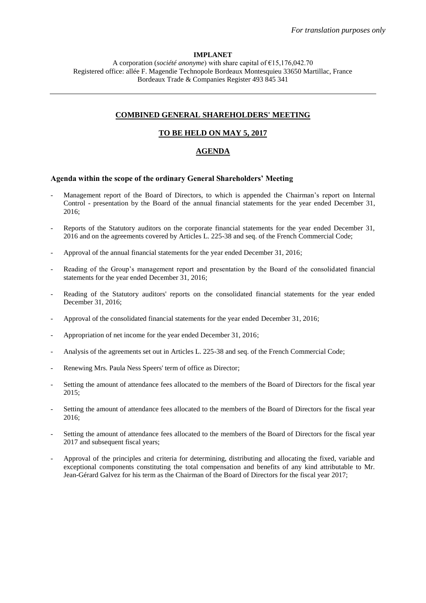## **IMPLANET**

A corporation (*société anonyme*) with share capital of €15,176,042.70 Registered office: allée F. Magendie Technopole Bordeaux Montesquieu 33650 Martillac, France Bordeaux Trade & Companies Register 493 845 341

# **COMBINED GENERAL SHAREHOLDERS' MEETING**

# **TO BE HELD ON MAY 5, 2017**

### **AGENDA**

## **Agenda within the scope of the ordinary General Shareholders' Meeting**

- Management report of the Board of Directors, to which is appended the Chairman's report on Internal Control - presentation by the Board of the annual financial statements for the year ended December 31, 2016;
- Reports of the Statutory auditors on the corporate financial statements for the year ended December 31, 2016 and on the agreements covered by Articles L. 225-38 and seq. of the French Commercial Code;
- Approval of the annual financial statements for the year ended December 31, 2016;
- Reading of the Group's management report and presentation by the Board of the consolidated financial statements for the year ended December 31, 2016;
- Reading of the Statutory auditors' reports on the consolidated financial statements for the year ended December 31, 2016;
- Approval of the consolidated financial statements for the year ended December 31, 2016;
- Appropriation of net income for the year ended December 31, 2016;
- Analysis of the agreements set out in Articles L. 225-38 and seq. of the French Commercial Code;
- Renewing Mrs. Paula Ness Speers' term of office as Director;
- Setting the amount of attendance fees allocated to the members of the Board of Directors for the fiscal year 2015;
- Setting the amount of attendance fees allocated to the members of the Board of Directors for the fiscal year 2016;
- Setting the amount of attendance fees allocated to the members of the Board of Directors for the fiscal year 2017 and subsequent fiscal years;
- Approval of the principles and criteria for determining, distributing and allocating the fixed, variable and exceptional components constituting the total compensation and benefits of any kind attributable to Mr. Jean-Gérard Galvez for his term as the Chairman of the Board of Directors for the fiscal year 2017;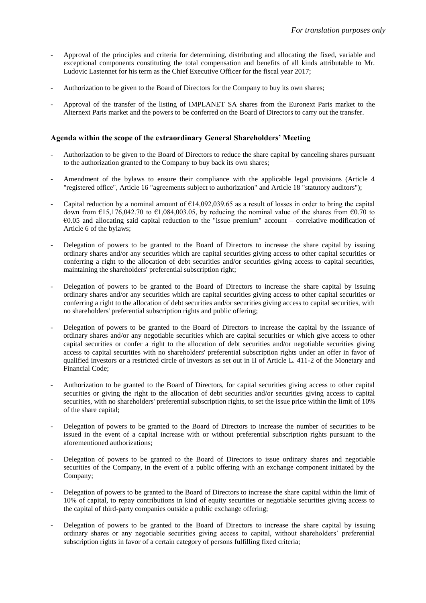- Approval of the principles and criteria for determining, distributing and allocating the fixed, variable and exceptional components constituting the total compensation and benefits of all kinds attributable to Mr. Ludovic Lastennet for his term as the Chief Executive Officer for the fiscal year 2017;
- Authorization to be given to the Board of Directors for the Company to buy its own shares;
- Approval of the transfer of the listing of IMPLANET SA shares from the Euronext Paris market to the Alternext Paris market and the powers to be conferred on the Board of Directors to carry out the transfer.

# **Agenda within the scope of the extraordinary General Shareholders' Meeting**

- Authorization to be given to the Board of Directors to reduce the share capital by canceling shares pursuant to the authorization granted to the Company to buy back its own shares;
- Amendment of the bylaws to ensure their compliance with the applicable legal provisions (Article 4 "registered office", Article 16 "agreements subject to authorization" and Article 18 "statutory auditors");
- Capital reduction by a nominal amount of  $E14,092,039.65$  as a result of losses in order to bring the capital down from  $\epsilon$ 15,176,042.70 to  $\epsilon$ 1,084,003.05, by reducing the nominal value of the shares from  $\epsilon$ 0.70 to  $60.05$  and allocating said capital reduction to the "issue premium" account – correlative modification of Article 6 of the bylaws;
- Delegation of powers to be granted to the Board of Directors to increase the share capital by issuing ordinary shares and/or any securities which are capital securities giving access to other capital securities or conferring a right to the allocation of debt securities and/or securities giving access to capital securities, maintaining the shareholders' preferential subscription right;
- Delegation of powers to be granted to the Board of Directors to increase the share capital by issuing ordinary shares and/or any securities which are capital securities giving access to other capital securities or conferring a right to the allocation of debt securities and/or securities giving access to capital securities, with no shareholders' preferential subscription rights and public offering;
- Delegation of powers to be granted to the Board of Directors to increase the capital by the issuance of ordinary shares and/or any negotiable securities which are capital securities or which give access to other capital securities or confer a right to the allocation of debt securities and/or negotiable securities giving access to capital securities with no shareholders' preferential subscription rights under an offer in favor of qualified investors or a restricted circle of investors as set out in II of Article L. 411-2 of the Monetary and Financial Code;
- Authorization to be granted to the Board of Directors, for capital securities giving access to other capital securities or giving the right to the allocation of debt securities and/or securities giving access to capital securities, with no shareholders' preferential subscription rights, to set the issue price within the limit of 10% of the share capital;
- Delegation of powers to be granted to the Board of Directors to increase the number of securities to be issued in the event of a capital increase with or without preferential subscription rights pursuant to the aforementioned authorizations;
- Delegation of powers to be granted to the Board of Directors to issue ordinary shares and negotiable securities of the Company, in the event of a public offering with an exchange component initiated by the Company;
- Delegation of powers to be granted to the Board of Directors to increase the share capital within the limit of 10% of capital, to repay contributions in kind of equity securities or negotiable securities giving access to the capital of third-party companies outside a public exchange offering;
- Delegation of powers to be granted to the Board of Directors to increase the share capital by issuing ordinary shares or any negotiable securities giving access to capital, without shareholders' preferential subscription rights in favor of a certain category of persons fulfilling fixed criteria;